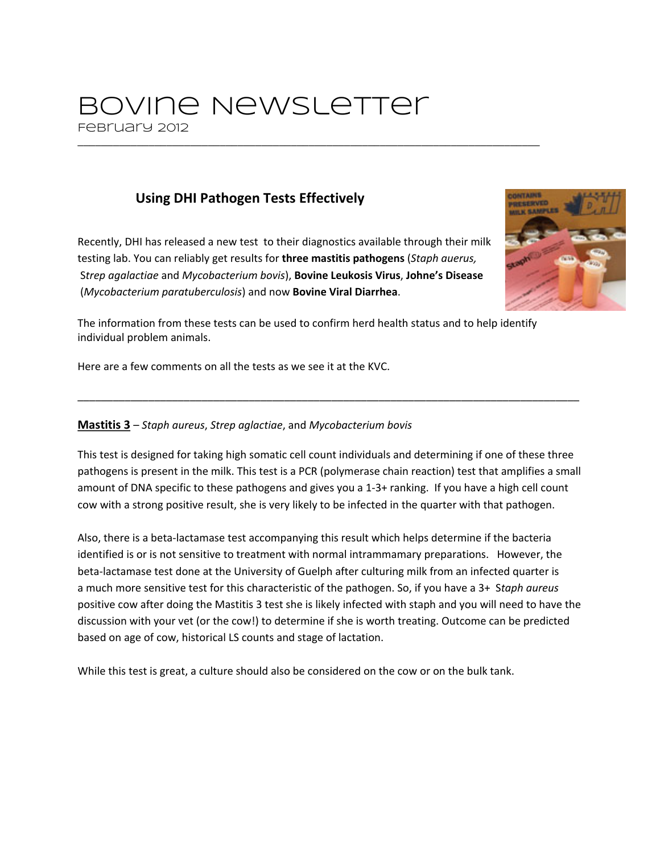# Bovine Newsletter February 2012

# **Using DHI Pathogen Tests Effectively**

Recently, DHI has released a new test to their diagnostics available through their milk testing lab. You can reliably get results for **three mastitis pathogens** (*Staph auerus,* S*trep agalactiae* and *Mycobacterium bovis*), **Bovine Leukosis Virus**, **Johne's Disease** (*Mycobacterium paratuberculosis*) and now **Bovine Viral Diarrhea**.



The information from these tests can be used to confirm herd health status and to help identify individual problem animals.

\_\_\_\_\_\_\_\_\_\_\_\_\_\_\_\_\_\_\_\_\_\_\_\_\_\_\_\_\_\_\_\_\_\_\_\_\_\_\_\_\_\_\_\_\_\_\_\_\_\_\_\_\_\_\_\_\_\_\_\_\_\_\_\_\_\_\_\_\_\_\_\_\_\_\_\_\_\_

Here are a few comments on all the tests as we see it at the KVC.

#### **Mastitis 3** – *Staph aureus*, *Strep aglactiae*, and *Mycobacterium bovis*

This test is designed for taking high somatic cell count individuals and determining if one of these three pathogens is present in the milk. This test is a PCR (polymerase chain reaction) test that amplifies a small amount of DNA specific to these pathogens and gives you a 1-3+ ranking. If you have a high cell count cow with a strong positive result, she is very likely to be infected in the quarter with that pathogen.

\_\_\_\_\_\_\_\_\_\_\_\_\_\_\_\_\_\_\_\_\_\_\_\_\_\_\_\_\_\_\_\_\_\_\_\_\_\_\_\_\_\_\_\_\_\_\_\_\_\_\_\_\_\_\_\_\_\_\_\_\_\_\_\_\_\_\_\_\_\_\_\_\_\_\_\_\_\_\_\_\_\_\_\_\_

Also, there is a beta-lactamase test accompanying this result which helps determine if the bacteria identified is or is not sensitive to treatment with normal intrammamary preparations. However, the beta-lactamase test done at the University of Guelph after culturing milk from an infected quarter is a much more sensitive test for this characteristic of the pathogen. So, if you have a 3+ S*taph aureus* positive cow after doing the Mastitis 3 test she is likely infected with staph and you will need to have the discussion with your vet (or the cow!) to determine if she is worth treating. Outcome can be predicted based on age of cow, historical LS counts and stage of lactation.

While this test is great, a culture should also be considered on the cow or on the bulk tank.